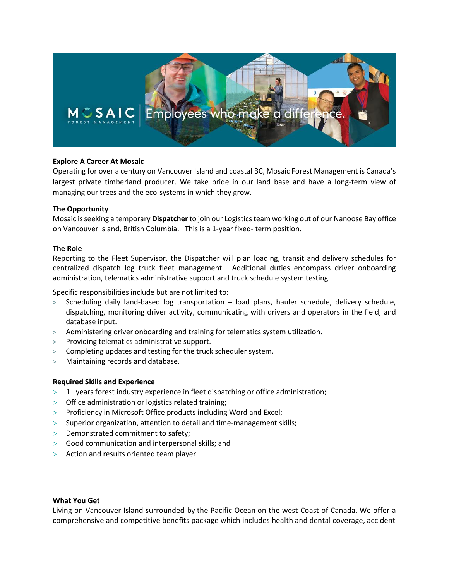

# **Explore A Career At Mosaic**

Operating for over a century on Vancouver Island and coastal BC, Mosaic Forest Management is Canada's largest private timberland producer. We take pride in our land base and have a long-term view of managing our trees and the eco-systems in which they grow.

## **The Opportunity**

Mosaic is seeking a temporary **Dispatcher** to join our Logisticsteam working out of our Nanoose Bay office on Vancouver Island, British Columbia. This is a 1-year fixed- term position.

## **The Role**

Reporting to the Fleet Supervisor, the Dispatcher will plan loading, transit and delivery schedules for centralized dispatch log truck fleet management. Additional duties encompass driver onboarding administration, telematics administrative support and truck schedule system testing.

Specific responsibilities include but are not limited to:

- **>** Scheduling daily land-based log transportation load plans, hauler schedule, delivery schedule, dispatching, monitoring driver activity, communicating with drivers and operators in the field, and database input.
- **>** Administering driver onboarding and training for telematics system utilization.
- **>** Providing telematics administrative support.
- **>** Completing updates and testing for the truck scheduler system.
- **>** Maintaining records and database.

# **Required Skills and Experience**

- $>$  1+ years forest industry experience in fleet dispatching or office administration;
- $>$  Office administration or logistics related training;
- > Proficiency in Microsoft Office products including Word and Excel;
- $>$  Superior organization, attention to detail and time-management skills;
- $>$  Demonstrated commitment to safety;
- Good communication and interpersonal skills; and
- $>$  Action and results oriented team player.

## **What You Get**

Living on Vancouver Island surrounded by the Pacific Ocean on the west Coast of Canada. We offer a comprehensive and competitive benefits package which includes health and dental coverage, accident